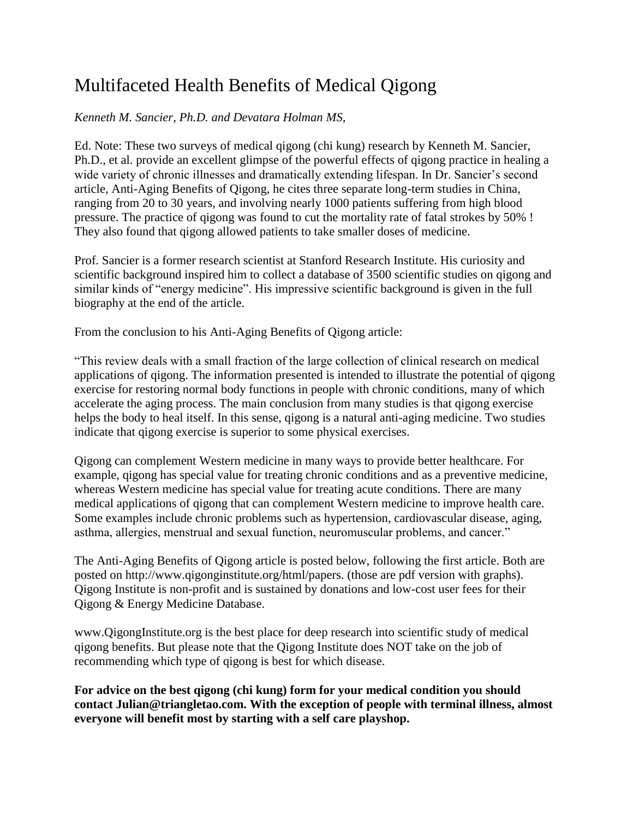# Multifaceted Health Benefits of Medical Qigong

*Kenneth M. Sancier, Ph.D. and Devatara Holman MS,*

Ed. Note: These two surveys of medical qigong (chi kung) research by Kenneth M. Sancier, Ph.D., et al. provide an excellent glimpse of the powerful effects of qigong practice in healing a wide variety of chronic illnesses and dramatically extending lifespan. In Dr. Sancier's second article, Anti-Aging Benefits of Qigong, he cites three separate long-term studies in China, ranging from 20 to 30 years, and involving nearly 1000 patients suffering from high blood pressure. The practice of qigong was found to cut the mortality rate of fatal strokes by 50% ! They also found that qigong allowed patients to take smaller doses of medicine.

Prof. Sancier is a former research scientist at Stanford Research Institute. His curiosity and scientific background inspired him to collect a database of 3500 scientific studies on qigong and similar kinds of "energy medicine". His impressive scientific background is given in the full biography at the end of the article.

From the conclusion to his Anti-Aging Benefits of Qigong article:

"This review deals with a small fraction of the large collection of clinical research on medical applications of qigong. The information presented is intended to illustrate the potential of qigong exercise for restoring normal body functions in people with chronic conditions, many of which accelerate the aging process. The main conclusion from many studies is that qigong exercise helps the body to heal itself. In this sense, qigong is a natural anti-aging medicine. Two studies indicate that qigong exercise is superior to some physical exercises.

Qigong can complement Western medicine in many ways to provide better healthcare. For example, qigong has special value for treating chronic conditions and as a preventive medicine, whereas Western medicine has special value for treating acute conditions. There are many medical applications of qigong that can complement Western medicine to improve health care. Some examples include chronic problems such as hypertension, cardiovascular disease, aging, asthma, allergies, menstrual and sexual function, neuromuscular problems, and cancer."

The Anti-Aging Benefits of Qigong article is posted below, following the first article. Both are posted on http://www.qigonginstitute.org/html/papers. (those are pdf version with graphs). Qigong Institute is non-profit and is sustained by donations and low-cost user fees for their Qigong & Energy Medicine Database.

www.QigongInstitute.org is the best place for deep research into scientific study of medical qigong benefits. But please note that the Qigong Institute does NOT take on the job of recommending which type of qigong is best for which disease.

**For advice on the best qigong (chi kung) form for your medical condition you should contact Julian@triangletao.com. With the exception of people with terminal illness, almost everyone will benefit most by starting with a self care playshop.**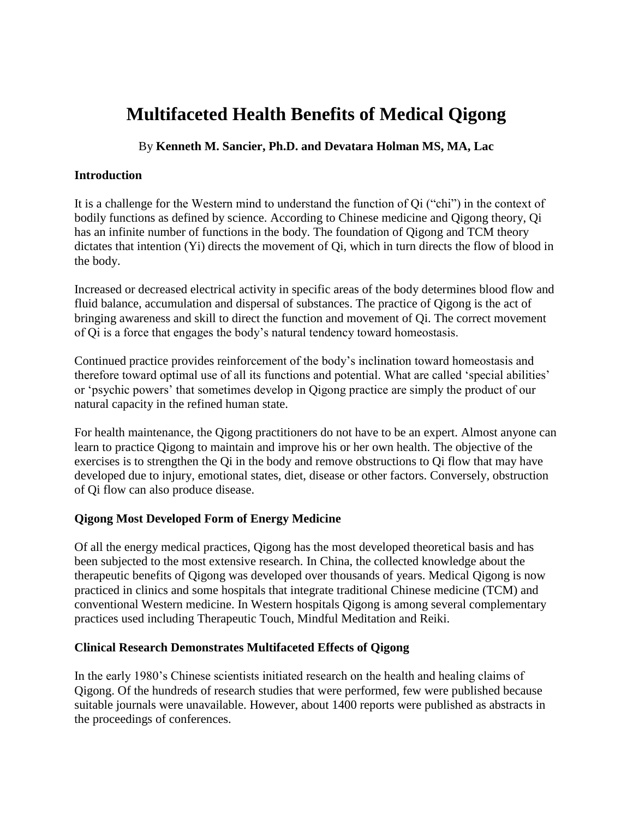## **Multifaceted Health Benefits of Medical Qigong**

## By **Kenneth M. Sancier, Ph.D. and Devatara Holman MS, MA, Lac**

#### **Introduction**

It is a challenge for the Western mind to understand the function of Qi ("chi") in the context of bodily functions as defined by science. According to Chinese medicine and Qigong theory, Qi has an infinite number of functions in the body. The foundation of Qigong and TCM theory dictates that intention (Yi) directs the movement of Qi, which in turn directs the flow of blood in the body.

Increased or decreased electrical activity in specific areas of the body determines blood flow and fluid balance, accumulation and dispersal of substances. The practice of Qigong is the act of bringing awareness and skill to direct the function and movement of Qi. The correct movement of Qi is a force that engages the body"s natural tendency toward homeostasis.

Continued practice provides reinforcement of the body"s inclination toward homeostasis and therefore toward optimal use of all its functions and potential. What are called "special abilities" or "psychic powers" that sometimes develop in Qigong practice are simply the product of our natural capacity in the refined human state.

For health maintenance, the Qigong practitioners do not have to be an expert. Almost anyone can learn to practice Qigong to maintain and improve his or her own health. The objective of the exercises is to strengthen the Qi in the body and remove obstructions to Qi flow that may have developed due to injury, emotional states, diet, disease or other factors. Conversely, obstruction of Qi flow can also produce disease.

## **Qigong Most Developed Form of Energy Medicine**

Of all the energy medical practices, Qigong has the most developed theoretical basis and has been subjected to the most extensive research. In China, the collected knowledge about the therapeutic benefits of Qigong was developed over thousands of years. Medical Qigong is now practiced in clinics and some hospitals that integrate traditional Chinese medicine (TCM) and conventional Western medicine. In Western hospitals Qigong is among several complementary practices used including Therapeutic Touch, Mindful Meditation and Reiki.

#### **Clinical Research Demonstrates Multifaceted Effects of Qigong**

In the early 1980"s Chinese scientists initiated research on the health and healing claims of Qigong. Of the hundreds of research studies that were performed, few were published because suitable journals were unavailable. However, about 1400 reports were published as abstracts in the proceedings of conferences.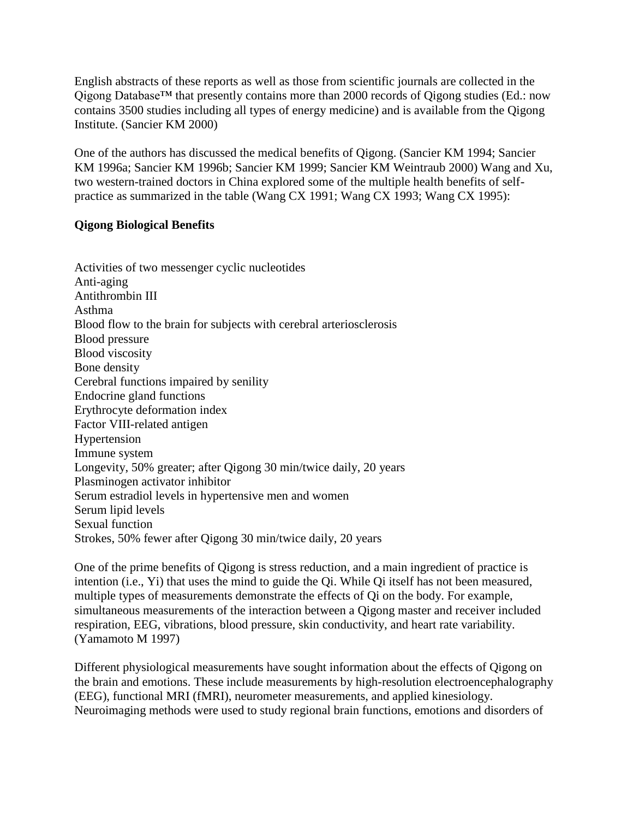English abstracts of these reports as well as those from scientific journals are collected in the Qigong Database™ that presently contains more than 2000 records of Qigong studies (Ed.: now contains 3500 studies including all types of energy medicine) and is available from the Qigong Institute. (Sancier KM 2000)

One of the authors has discussed the medical benefits of Qigong. (Sancier KM 1994; Sancier KM 1996a; Sancier KM 1996b; Sancier KM 1999; Sancier KM Weintraub 2000) Wang and Xu, two western-trained doctors in China explored some of the multiple health benefits of selfpractice as summarized in the table (Wang CX 1991; Wang CX 1993; Wang CX 1995):

#### **Qigong Biological Benefits**

Activities of two messenger cyclic nucleotides Anti-aging Antithrombin III Asthma Blood flow to the brain for subjects with cerebral arteriosclerosis Blood pressure Blood viscosity Bone density Cerebral functions impaired by senility Endocrine gland functions Erythrocyte deformation index Factor VIII-related antigen Hypertension Immune system Longevity, 50% greater; after Qigong 30 min/twice daily, 20 years Plasminogen activator inhibitor Serum estradiol levels in hypertensive men and women Serum lipid levels Sexual function Strokes, 50% fewer after Qigong 30 min/twice daily, 20 years

One of the prime benefits of Qigong is stress reduction, and a main ingredient of practice is intention (i.e., Yi) that uses the mind to guide the Qi. While Qi itself has not been measured, multiple types of measurements demonstrate the effects of Qi on the body. For example, simultaneous measurements of the interaction between a Qigong master and receiver included respiration, EEG, vibrations, blood pressure, skin conductivity, and heart rate variability. (Yamamoto M 1997)

Different physiological measurements have sought information about the effects of Qigong on the brain and emotions. These include measurements by high-resolution electroencephalography (EEG), functional MRI (fMRI), neurometer measurements, and applied kinesiology. Neuroimaging methods were used to study regional brain functions, emotions and disorders of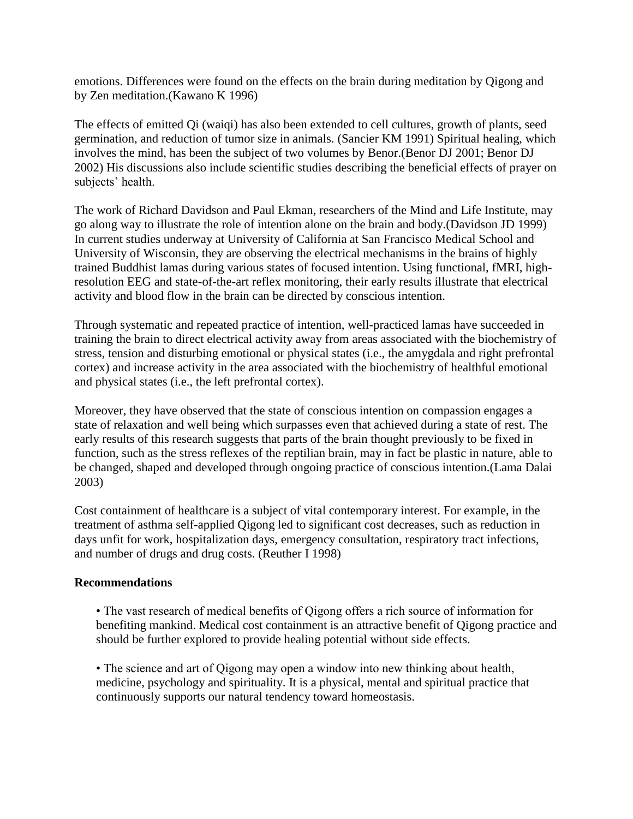emotions. Differences were found on the effects on the brain during meditation by Qigong and by Zen meditation.(Kawano K 1996)

The effects of emitted Qi (waiqi) has also been extended to cell cultures, growth of plants, seed germination, and reduction of tumor size in animals. (Sancier KM 1991) Spiritual healing, which involves the mind, has been the subject of two volumes by Benor.(Benor DJ 2001; Benor DJ 2002) His discussions also include scientific studies describing the beneficial effects of prayer on subjects' health.

The work of Richard Davidson and Paul Ekman, researchers of the Mind and Life Institute, may go along way to illustrate the role of intention alone on the brain and body.(Davidson JD 1999) In current studies underway at University of California at San Francisco Medical School and University of Wisconsin, they are observing the electrical mechanisms in the brains of highly trained Buddhist lamas during various states of focused intention. Using functional, fMRI, highresolution EEG and state-of-the-art reflex monitoring, their early results illustrate that electrical activity and blood flow in the brain can be directed by conscious intention.

Through systematic and repeated practice of intention, well-practiced lamas have succeeded in training the brain to direct electrical activity away from areas associated with the biochemistry of stress, tension and disturbing emotional or physical states (i.e., the amygdala and right prefrontal cortex) and increase activity in the area associated with the biochemistry of healthful emotional and physical states (i.e., the left prefrontal cortex).

Moreover, they have observed that the state of conscious intention on compassion engages a state of relaxation and well being which surpasses even that achieved during a state of rest. The early results of this research suggests that parts of the brain thought previously to be fixed in function, such as the stress reflexes of the reptilian brain, may in fact be plastic in nature, able to be changed, shaped and developed through ongoing practice of conscious intention.(Lama Dalai 2003)

Cost containment of healthcare is a subject of vital contemporary interest. For example, in the treatment of asthma self-applied Qigong led to significant cost decreases, such as reduction in days unfit for work, hospitalization days, emergency consultation, respiratory tract infections, and number of drugs and drug costs. (Reuther I 1998)

#### **Recommendations**

• The vast research of medical benefits of Qigong offers a rich source of information for benefiting mankind. Medical cost containment is an attractive benefit of Qigong practice and should be further explored to provide healing potential without side effects.

• The science and art of Qigong may open a window into new thinking about health, medicine, psychology and spirituality. It is a physical, mental and spiritual practice that continuously supports our natural tendency toward homeostasis.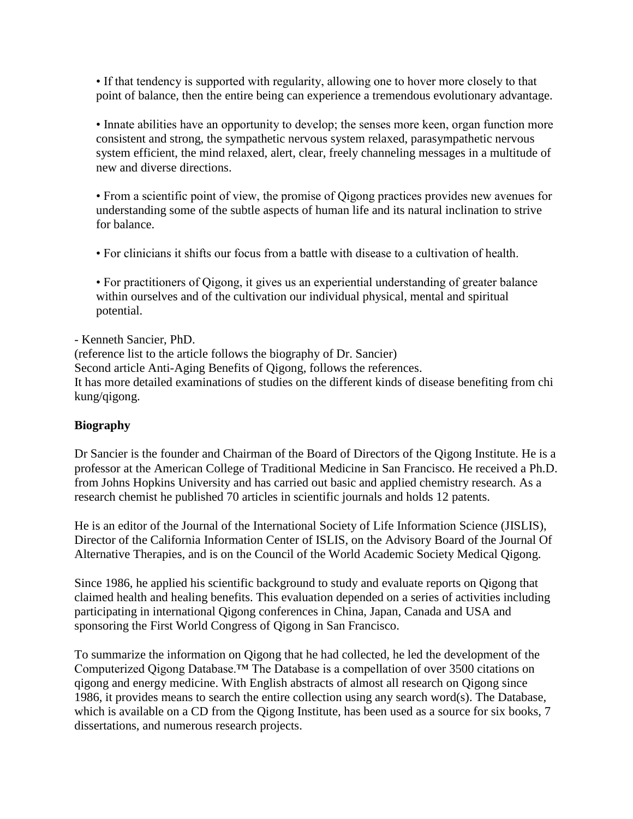• If that tendency is supported with regularity, allowing one to hover more closely to that point of balance, then the entire being can experience a tremendous evolutionary advantage.

• Innate abilities have an opportunity to develop; the senses more keen, organ function more consistent and strong, the sympathetic nervous system relaxed, parasympathetic nervous system efficient, the mind relaxed, alert, clear, freely channeling messages in a multitude of new and diverse directions.

• From a scientific point of view, the promise of Qigong practices provides new avenues for understanding some of the subtle aspects of human life and its natural inclination to strive for balance.

• For clinicians it shifts our focus from a battle with disease to a cultivation of health.

• For practitioners of Qigong, it gives us an experiential understanding of greater balance within ourselves and of the cultivation our individual physical, mental and spiritual potential.

- Kenneth Sancier, PhD.

(reference list to the article follows the biography of Dr. Sancier) Second article Anti-Aging Benefits of Qigong, follows the references. It has more detailed examinations of studies on the different kinds of disease benefiting from chi kung/qigong.

#### **Biography**

Dr Sancier is the founder and Chairman of the Board of Directors of the Qigong Institute. He is a professor at the American College of Traditional Medicine in San Francisco. He received a Ph.D. from Johns Hopkins University and has carried out basic and applied chemistry research. As a research chemist he published 70 articles in scientific journals and holds 12 patents.

He is an editor of the Journal of the International Society of Life Information Science (JISLIS), Director of the California Information Center of ISLIS, on the Advisory Board of the Journal Of Alternative Therapies, and is on the Council of the World Academic Society Medical Qigong.

Since 1986, he applied his scientific background to study and evaluate reports on Qigong that claimed health and healing benefits. This evaluation depended on a series of activities including participating in international Qigong conferences in China, Japan, Canada and USA and sponsoring the First World Congress of Qigong in San Francisco.

To summarize the information on Qigong that he had collected, he led the development of the Computerized Qigong Database.™ The Database is a compellation of over 3500 citations on qigong and energy medicine. With English abstracts of almost all research on Qigong since 1986, it provides means to search the entire collection using any search word(s). The Database, which is available on a CD from the Oigong Institute, has been used as a source for six books, 7 dissertations, and numerous research projects.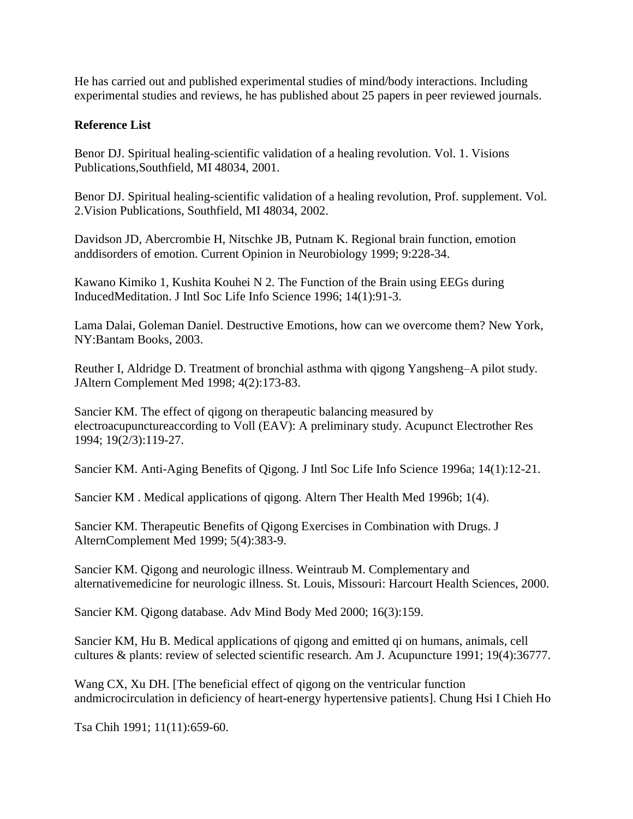He has carried out and published experimental studies of mind/body interactions. Including experimental studies and reviews, he has published about 25 papers in peer reviewed journals.

#### **Reference List**

Benor DJ. Spiritual healing-scientific validation of a healing revolution. Vol. 1. Visions Publications,Southfield, MI 48034, 2001.

Benor DJ. Spiritual healing-scientific validation of a healing revolution, Prof. supplement. Vol. 2.Vision Publications, Southfield, MI 48034, 2002.

Davidson JD, Abercrombie H, Nitschke JB, Putnam K. Regional brain function, emotion anddisorders of emotion. Current Opinion in Neurobiology 1999; 9:228-34.

Kawano Kimiko 1, Kushita Kouhei N 2. The Function of the Brain using EEGs during InducedMeditation. J Intl Soc Life Info Science 1996; 14(1):91-3.

Lama Dalai, Goleman Daniel. Destructive Emotions, how can we overcome them? New York, NY:Bantam Books, 2003.

Reuther I, Aldridge D. Treatment of bronchial asthma with qigong Yangsheng–A pilot study. JAltern Complement Med 1998; 4(2):173-83.

Sancier KM. The effect of qigong on therapeutic balancing measured by electroacupunctureaccording to Voll (EAV): A preliminary study. Acupunct Electrother Res 1994; 19(2/3):119-27.

Sancier KM. Anti-Aging Benefits of Qigong. J Intl Soc Life Info Science 1996a; 14(1):12-21.

Sancier KM . Medical applications of qigong. Altern Ther Health Med 1996b; 1(4).

Sancier KM. Therapeutic Benefits of Qigong Exercises in Combination with Drugs. J AlternComplement Med 1999; 5(4):383-9.

Sancier KM. Qigong and neurologic illness. Weintraub M. Complementary and alternativemedicine for neurologic illness. St. Louis, Missouri: Harcourt Health Sciences, 2000.

Sancier KM. Qigong database. Adv Mind Body Med 2000; 16(3):159.

Sancier KM, Hu B. Medical applications of qigong and emitted qi on humans, animals, cell cultures & plants: review of selected scientific research. Am J. Acupuncture 1991; 19(4):36777.

Wang CX, Xu DH. [The beneficial effect of qigong on the ventricular function andmicrocirculation in deficiency of heart-energy hypertensive patients]. Chung Hsi I Chieh Ho

Tsa Chih 1991; 11(11):659-60.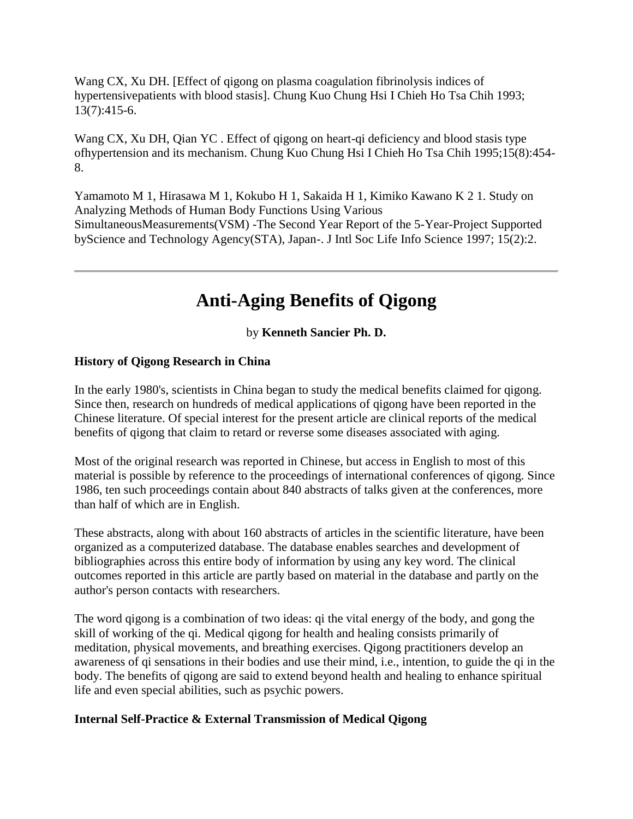Wang CX, Xu DH. [Effect of qigong on plasma coagulation fibrinolysis indices of hypertensivepatients with blood stasis]. Chung Kuo Chung Hsi I Chieh Ho Tsa Chih 1993; 13(7):415-6.

Wang CX, Xu DH, Qian YC . Effect of qigong on heart-qi deficiency and blood stasis type ofhypertension and its mechanism. Chung Kuo Chung Hsi I Chieh Ho Tsa Chih 1995;15(8):454- 8.

Yamamoto M 1, Hirasawa M 1, Kokubo H 1, Sakaida H 1, Kimiko Kawano K 2 1. Study on Analyzing Methods of Human Body Functions Using Various SimultaneousMeasurements(VSM) -The Second Year Report of the 5-Year-Project Supported byScience and Technology Agency(STA), Japan-. J Intl Soc Life Info Science 1997; 15(2):2.

## **Anti-Aging Benefits of Qigong**

## by **Kenneth Sancier Ph. D.**

## **History of Qigong Research in China**

In the early 1980's, scientists in China began to study the medical benefits claimed for qigong. Since then, research on hundreds of medical applications of qigong have been reported in the Chinese literature. Of special interest for the present article are clinical reports of the medical benefits of qigong that claim to retard or reverse some diseases associated with aging.

Most of the original research was reported in Chinese, but access in English to most of this material is possible by reference to the proceedings of international conferences of qigong. Since 1986, ten such proceedings contain about 840 abstracts of talks given at the conferences, more than half of which are in English.

These abstracts, along with about 160 abstracts of articles in the scientific literature, have been organized as a computerized database. The database enables searches and development of bibliographies across this entire body of information by using any key word. The clinical outcomes reported in this article are partly based on material in the database and partly on the author's person contacts with researchers.

The word qigong is a combination of two ideas: qi the vital energy of the body, and gong the skill of working of the qi. Medical qigong for health and healing consists primarily of meditation, physical movements, and breathing exercises. Qigong practitioners develop an awareness of qi sensations in their bodies and use their mind, i.e., intention, to guide the qi in the body. The benefits of qigong are said to extend beyond health and healing to enhance spiritual life and even special abilities, such as psychic powers.

## **Internal Self-Practice & External Transmission of Medical Qigong**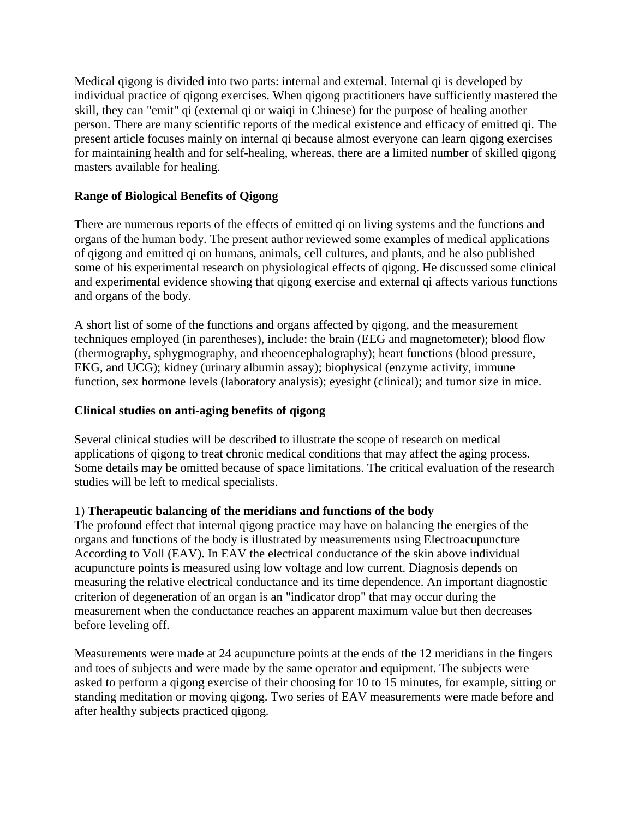Medical qigong is divided into two parts: internal and external. Internal qi is developed by individual practice of qigong exercises. When qigong practitioners have sufficiently mastered the skill, they can "emit" qi (external qi or waiqi in Chinese) for the purpose of healing another person. There are many scientific reports of the medical existence and efficacy of emitted qi. The present article focuses mainly on internal qi because almost everyone can learn qigong exercises for maintaining health and for self-healing, whereas, there are a limited number of skilled qigong masters available for healing.

## **Range of Biological Benefits of Qigong**

There are numerous reports of the effects of emitted qi on living systems and the functions and organs of the human body. The present author reviewed some examples of medical applications of qigong and emitted qi on humans, animals, cell cultures, and plants, and he also published some of his experimental research on physiological effects of qigong. He discussed some clinical and experimental evidence showing that qigong exercise and external qi affects various functions and organs of the body.

A short list of some of the functions and organs affected by qigong, and the measurement techniques employed (in parentheses), include: the brain (EEG and magnetometer); blood flow (thermography, sphygmography, and rheoencephalography); heart functions (blood pressure, EKG, and UCG); kidney (urinary albumin assay); biophysical (enzyme activity, immune function, sex hormone levels (laboratory analysis); eyesight (clinical); and tumor size in mice.

## **Clinical studies on anti-aging benefits of qigong**

Several clinical studies will be described to illustrate the scope of research on medical applications of qigong to treat chronic medical conditions that may affect the aging process. Some details may be omitted because of space limitations. The critical evaluation of the research studies will be left to medical specialists.

## 1) **Therapeutic balancing of the meridians and functions of the body**

The profound effect that internal qigong practice may have on balancing the energies of the organs and functions of the body is illustrated by measurements using Electroacupuncture According to Voll (EAV). In EAV the electrical conductance of the skin above individual acupuncture points is measured using low voltage and low current. Diagnosis depends on measuring the relative electrical conductance and its time dependence. An important diagnostic criterion of degeneration of an organ is an "indicator drop" that may occur during the measurement when the conductance reaches an apparent maximum value but then decreases before leveling off.

Measurements were made at 24 acupuncture points at the ends of the 12 meridians in the fingers and toes of subjects and were made by the same operator and equipment. The subjects were asked to perform a qigong exercise of their choosing for 10 to 15 minutes, for example, sitting or standing meditation or moving qigong. Two series of EAV measurements were made before and after healthy subjects practiced qigong.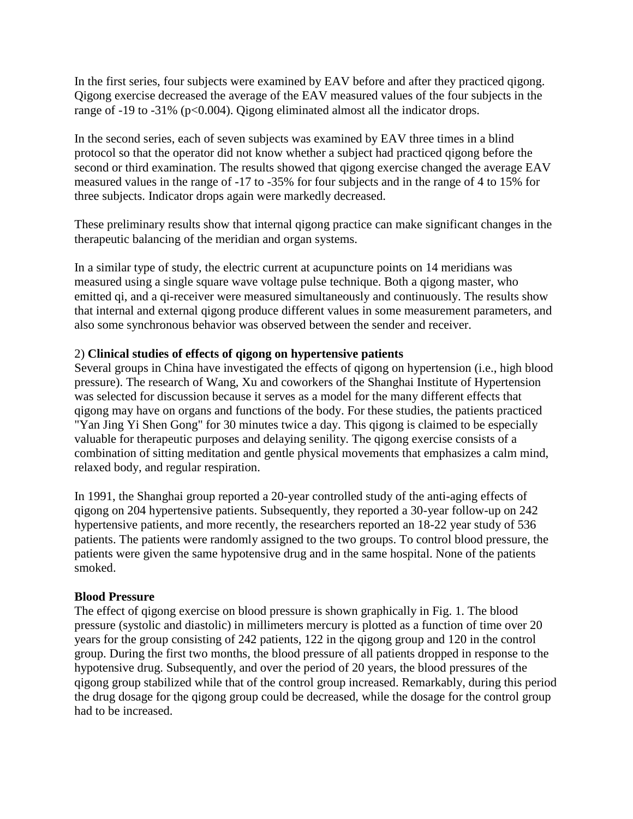In the first series, four subjects were examined by EAV before and after they practiced qigong. Qigong exercise decreased the average of the EAV measured values of the four subjects in the range of  $-19$  to  $-31\%$  (p<0.004). Qigong eliminated almost all the indicator drops.

In the second series, each of seven subjects was examined by EAV three times in a blind protocol so that the operator did not know whether a subject had practiced qigong before the second or third examination. The results showed that qigong exercise changed the average EAV measured values in the range of -17 to -35% for four subjects and in the range of 4 to 15% for three subjects. Indicator drops again were markedly decreased.

These preliminary results show that internal qigong practice can make significant changes in the therapeutic balancing of the meridian and organ systems.

In a similar type of study, the electric current at acupuncture points on 14 meridians was measured using a single square wave voltage pulse technique. Both a qigong master, who emitted qi, and a qi-receiver were measured simultaneously and continuously. The results show that internal and external qigong produce different values in some measurement parameters, and also some synchronous behavior was observed between the sender and receiver.

#### 2) **Clinical studies of effects of qigong on hypertensive patients**

Several groups in China have investigated the effects of qigong on hypertension (i.e., high blood pressure). The research of Wang, Xu and coworkers of the Shanghai Institute of Hypertension was selected for discussion because it serves as a model for the many different effects that qigong may have on organs and functions of the body. For these studies, the patients practiced "Yan Jing Yi Shen Gong" for 30 minutes twice a day. This qigong is claimed to be especially valuable for therapeutic purposes and delaying senility. The qigong exercise consists of a combination of sitting meditation and gentle physical movements that emphasizes a calm mind, relaxed body, and regular respiration.

In 1991, the Shanghai group reported a 20-year controlled study of the anti-aging effects of qigong on 204 hypertensive patients. Subsequently, they reported a 30-year follow-up on 242 hypertensive patients, and more recently, the researchers reported an 18-22 year study of 536 patients. The patients were randomly assigned to the two groups. To control blood pressure, the patients were given the same hypotensive drug and in the same hospital. None of the patients smoked.

#### **Blood Pressure**

The effect of qigong exercise on blood pressure is shown graphically in Fig. 1. The blood pressure (systolic and diastolic) in millimeters mercury is plotted as a function of time over 20 years for the group consisting of 242 patients, 122 in the qigong group and 120 in the control group. During the first two months, the blood pressure of all patients dropped in response to the hypotensive drug. Subsequently, and over the period of 20 years, the blood pressures of the qigong group stabilized while that of the control group increased. Remarkably, during this period the drug dosage for the qigong group could be decreased, while the dosage for the control group had to be increased.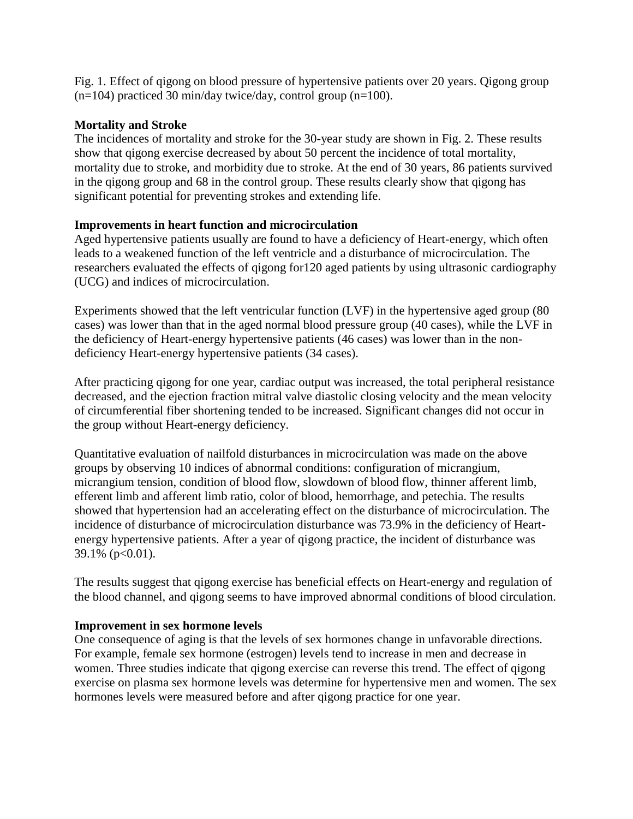Fig. 1. Effect of qigong on blood pressure of hypertensive patients over 20 years. Qigong group  $(n=104)$  practiced 30 min/day twice/day, control group  $(n=100)$ .

#### **Mortality and Stroke**

The incidences of mortality and stroke for the 30-year study are shown in Fig. 2. These results show that qigong exercise decreased by about 50 percent the incidence of total mortality, mortality due to stroke, and morbidity due to stroke. At the end of 30 years, 86 patients survived in the qigong group and 68 in the control group. These results clearly show that qigong has significant potential for preventing strokes and extending life.

#### **Improvements in heart function and microcirculation**

Aged hypertensive patients usually are found to have a deficiency of Heart-energy, which often leads to a weakened function of the left ventricle and a disturbance of microcirculation. The researchers evaluated the effects of qigong for120 aged patients by using ultrasonic cardiography (UCG) and indices of microcirculation.

Experiments showed that the left ventricular function (LVF) in the hypertensive aged group (80 cases) was lower than that in the aged normal blood pressure group (40 cases), while the LVF in the deficiency of Heart-energy hypertensive patients (46 cases) was lower than in the nondeficiency Heart-energy hypertensive patients (34 cases).

After practicing qigong for one year, cardiac output was increased, the total peripheral resistance decreased, and the ejection fraction mitral valve diastolic closing velocity and the mean velocity of circumferential fiber shortening tended to be increased. Significant changes did not occur in the group without Heart-energy deficiency.

Quantitative evaluation of nailfold disturbances in microcirculation was made on the above groups by observing 10 indices of abnormal conditions: configuration of micrangium, micrangium tension, condition of blood flow, slowdown of blood flow, thinner afferent limb, efferent limb and afferent limb ratio, color of blood, hemorrhage, and petechia. The results showed that hypertension had an accelerating effect on the disturbance of microcirculation. The incidence of disturbance of microcirculation disturbance was 73.9% in the deficiency of Heartenergy hypertensive patients. After a year of qigong practice, the incident of disturbance was  $39.1\%$  (p<0.01).

The results suggest that qigong exercise has beneficial effects on Heart-energy and regulation of the blood channel, and qigong seems to have improved abnormal conditions of blood circulation.

#### **Improvement in sex hormone levels**

One consequence of aging is that the levels of sex hormones change in unfavorable directions. For example, female sex hormone (estrogen) levels tend to increase in men and decrease in women. Three studies indicate that qigong exercise can reverse this trend. The effect of qigong exercise on plasma sex hormone levels was determine for hypertensive men and women. The sex hormones levels were measured before and after qigong practice for one year.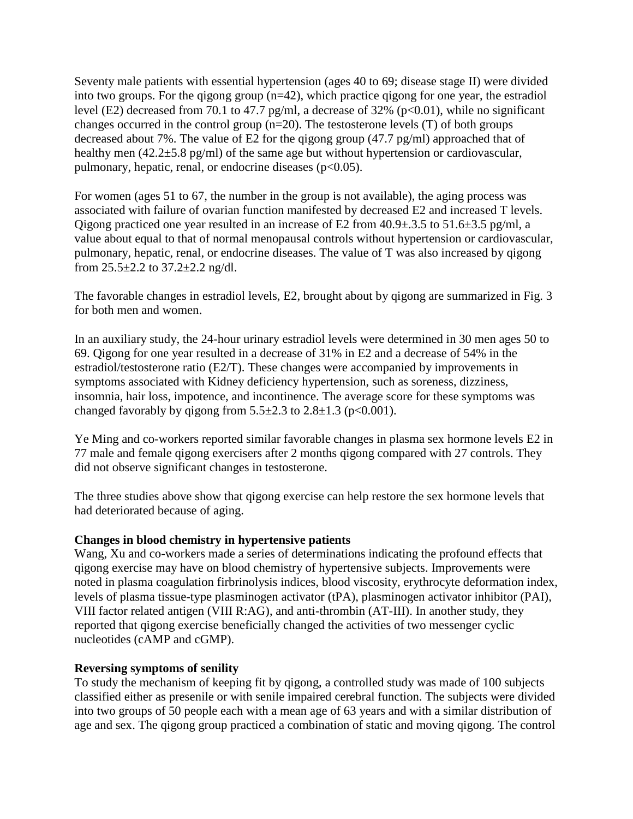Seventy male patients with essential hypertension (ages 40 to 69; disease stage II) were divided into two groups. For the qigong group (n=42), which practice qigong for one year, the estradiol level (E2) decreased from 70.1 to 47.7 pg/ml, a decrease of 32% (p<0.01), while no significant changes occurred in the control group  $(n=20)$ . The testosterone levels  $(T)$  of both groups decreased about 7%. The value of E2 for the qigong group (47.7 pg/ml) approached that of healthy men (42.2 $\pm$ 5.8 pg/ml) of the same age but without hypertension or cardiovascular, pulmonary, hepatic, renal, or endocrine diseases  $(p<0.05)$ .

For women (ages 51 to 67, the number in the group is not available), the aging process was associated with failure of ovarian function manifested by decreased E2 and increased T levels. Qigong practiced one year resulted in an increase of E2 from 40.9±.3.5 to 51.6±3.5 pg/ml, a value about equal to that of normal menopausal controls without hypertension or cardiovascular, pulmonary, hepatic, renal, or endocrine diseases. The value of T was also increased by qigong from  $25.5 \pm 2.2$  to  $37.2 \pm 2.2$  ng/dl.

The favorable changes in estradiol levels, E2, brought about by qigong are summarized in Fig. 3 for both men and women.

In an auxiliary study, the 24-hour urinary estradiol levels were determined in 30 men ages 50 to 69. Qigong for one year resulted in a decrease of 31% in E2 and a decrease of 54% in the estradiol/testosterone ratio (E2/T). These changes were accompanied by improvements in symptoms associated with Kidney deficiency hypertension, such as soreness, dizziness, insomnia, hair loss, impotence, and incontinence. The average score for these symptoms was changed favorably by qigong from  $5.5\pm2.3$  to  $2.8\pm1.3$  (p<0.001).

Ye Ming and co-workers reported similar favorable changes in plasma sex hormone levels E2 in 77 male and female qigong exercisers after 2 months qigong compared with 27 controls. They did not observe significant changes in testosterone.

The three studies above show that qigong exercise can help restore the sex hormone levels that had deteriorated because of aging.

#### **Changes in blood chemistry in hypertensive patients**

Wang, Xu and co-workers made a series of determinations indicating the profound effects that qigong exercise may have on blood chemistry of hypertensive subjects. Improvements were noted in plasma coagulation firbrinolysis indices, blood viscosity, erythrocyte deformation index, levels of plasma tissue-type plasminogen activator (tPA), plasminogen activator inhibitor (PAI), VIII factor related antigen (VIII R:AG), and anti-thrombin (AT-III). In another study, they reported that qigong exercise beneficially changed the activities of two messenger cyclic nucleotides (cAMP and cGMP).

#### **Reversing symptoms of senility**

To study the mechanism of keeping fit by qigong, a controlled study was made of 100 subjects classified either as presenile or with senile impaired cerebral function. The subjects were divided into two groups of 50 people each with a mean age of 63 years and with a similar distribution of age and sex. The qigong group practiced a combination of static and moving qigong. The control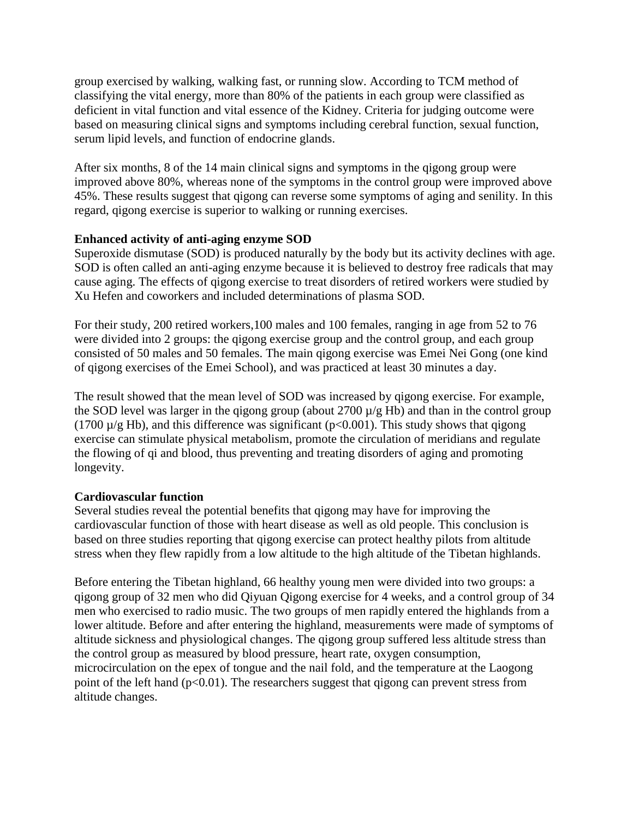group exercised by walking, walking fast, or running slow. According to TCM method of classifying the vital energy, more than 80% of the patients in each group were classified as deficient in vital function and vital essence of the Kidney. Criteria for judging outcome were based on measuring clinical signs and symptoms including cerebral function, sexual function, serum lipid levels, and function of endocrine glands.

After six months, 8 of the 14 main clinical signs and symptoms in the qigong group were improved above 80%, whereas none of the symptoms in the control group were improved above 45%. These results suggest that qigong can reverse some symptoms of aging and senility. In this regard, qigong exercise is superior to walking or running exercises.

## **Enhanced activity of anti-aging enzyme SOD**

Superoxide dismutase (SOD) is produced naturally by the body but its activity declines with age. SOD is often called an anti-aging enzyme because it is believed to destroy free radicals that may cause aging. The effects of qigong exercise to treat disorders of retired workers were studied by Xu Hefen and coworkers and included determinations of plasma SOD.

For their study, 200 retired workers,100 males and 100 females, ranging in age from 52 to 76 were divided into 2 groups: the qigong exercise group and the control group, and each group consisted of 50 males and 50 females. The main qigong exercise was Emei Nei Gong (one kind of qigong exercises of the Emei School), and was practiced at least 30 minutes a day.

The result showed that the mean level of SOD was increased by qigong exercise. For example, the SOD level was larger in the qigong group (about 2700 µ/g Hb) and than in the control group (1700  $\mu$ /g Hb), and this difference was significant (p<0.001). This study shows that qigong exercise can stimulate physical metabolism, promote the circulation of meridians and regulate the flowing of qi and blood, thus preventing and treating disorders of aging and promoting longevity.

#### **Cardiovascular function**

Several studies reveal the potential benefits that qigong may have for improving the cardiovascular function of those with heart disease as well as old people. This conclusion is based on three studies reporting that qigong exercise can protect healthy pilots from altitude stress when they flew rapidly from a low altitude to the high altitude of the Tibetan highlands.

Before entering the Tibetan highland, 66 healthy young men were divided into two groups: a qigong group of 32 men who did Qiyuan Qigong exercise for 4 weeks, and a control group of 34 men who exercised to radio music. The two groups of men rapidly entered the highlands from a lower altitude. Before and after entering the highland, measurements were made of symptoms of altitude sickness and physiological changes. The qigong group suffered less altitude stress than the control group as measured by blood pressure, heart rate, oxygen consumption, microcirculation on the epex of tongue and the nail fold, and the temperature at the Laogong point of the left hand  $(p<0.01)$ . The researchers suggest that qigong can prevent stress from altitude changes.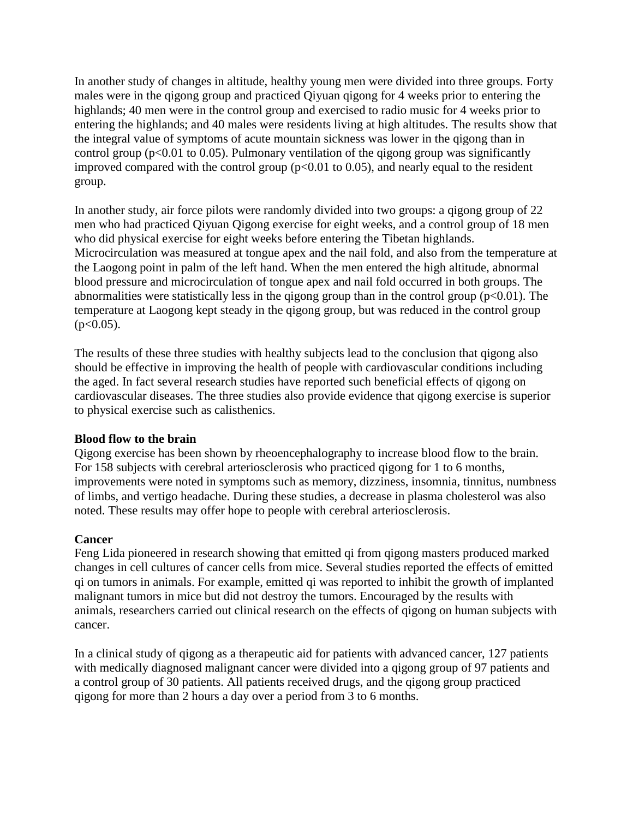In another study of changes in altitude, healthy young men were divided into three groups. Forty males were in the qigong group and practiced Qiyuan qigong for 4 weeks prior to entering the highlands; 40 men were in the control group and exercised to radio music for 4 weeks prior to entering the highlands; and 40 males were residents living at high altitudes. The results show that the integral value of symptoms of acute mountain sickness was lower in the qigong than in control group ( $p<0.01$  to 0.05). Pulmonary ventilation of the qigong group was significantly improved compared with the control group ( $p<0.01$  to 0.05), and nearly equal to the resident group.

In another study, air force pilots were randomly divided into two groups: a qigong group of 22 men who had practiced Qiyuan Qigong exercise for eight weeks, and a control group of 18 men who did physical exercise for eight weeks before entering the Tibetan highlands. Microcirculation was measured at tongue apex and the nail fold, and also from the temperature at the Laogong point in palm of the left hand. When the men entered the high altitude, abnormal blood pressure and microcirculation of tongue apex and nail fold occurred in both groups. The abnormalities were statistically less in the qigong group than in the control group ( $p<0.01$ ). The temperature at Laogong kept steady in the qigong group, but was reduced in the control group  $(p<0.05)$ .

The results of these three studies with healthy subjects lead to the conclusion that qigong also should be effective in improving the health of people with cardiovascular conditions including the aged. In fact several research studies have reported such beneficial effects of qigong on cardiovascular diseases. The three studies also provide evidence that qigong exercise is superior to physical exercise such as calisthenics.

#### **Blood flow to the brain**

Qigong exercise has been shown by rheoencephalography to increase blood flow to the brain. For 158 subjects with cerebral arteriosclerosis who practiced qigong for 1 to 6 months, improvements were noted in symptoms such as memory, dizziness, insomnia, tinnitus, numbness of limbs, and vertigo headache. During these studies, a decrease in plasma cholesterol was also noted. These results may offer hope to people with cerebral arteriosclerosis.

## **Cancer**

Feng Lida pioneered in research showing that emitted qi from qigong masters produced marked changes in cell cultures of cancer cells from mice. Several studies reported the effects of emitted qi on tumors in animals. For example, emitted qi was reported to inhibit the growth of implanted malignant tumors in mice but did not destroy the tumors. Encouraged by the results with animals, researchers carried out clinical research on the effects of qigong on human subjects with cancer.

In a clinical study of qigong as a therapeutic aid for patients with advanced cancer, 127 patients with medically diagnosed malignant cancer were divided into a qigong group of 97 patients and a control group of 30 patients. All patients received drugs, and the qigong group practiced qigong for more than 2 hours a day over a period from 3 to 6 months.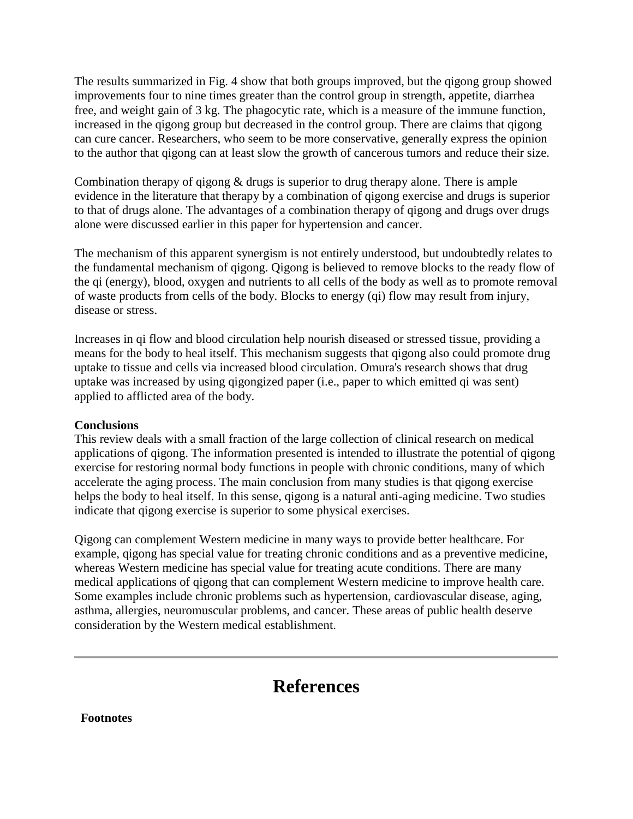The results summarized in Fig. 4 show that both groups improved, but the qigong group showed improvements four to nine times greater than the control group in strength, appetite, diarrhea free, and weight gain of 3 kg. The phagocytic rate, which is a measure of the immune function, increased in the qigong group but decreased in the control group. There are claims that qigong can cure cancer. Researchers, who seem to be more conservative, generally express the opinion to the author that qigong can at least slow the growth of cancerous tumors and reduce their size.

Combination therapy of qigong & drugs is superior to drug therapy alone. There is ample evidence in the literature that therapy by a combination of qigong exercise and drugs is superior to that of drugs alone. The advantages of a combination therapy of qigong and drugs over drugs alone were discussed earlier in this paper for hypertension and cancer.

The mechanism of this apparent synergism is not entirely understood, but undoubtedly relates to the fundamental mechanism of qigong. Qigong is believed to remove blocks to the ready flow of the qi (energy), blood, oxygen and nutrients to all cells of the body as well as to promote removal of waste products from cells of the body. Blocks to energy (qi) flow may result from injury, disease or stress.

Increases in qi flow and blood circulation help nourish diseased or stressed tissue, providing a means for the body to heal itself. This mechanism suggests that qigong also could promote drug uptake to tissue and cells via increased blood circulation. Omura's research shows that drug uptake was increased by using qigongized paper (i.e., paper to which emitted qi was sent) applied to afflicted area of the body.

## **Conclusions**

This review deals with a small fraction of the large collection of clinical research on medical applications of qigong. The information presented is intended to illustrate the potential of qigong exercise for restoring normal body functions in people with chronic conditions, many of which accelerate the aging process. The main conclusion from many studies is that qigong exercise helps the body to heal itself. In this sense, qigong is a natural anti-aging medicine. Two studies indicate that qigong exercise is superior to some physical exercises.

Qigong can complement Western medicine in many ways to provide better healthcare. For example, qigong has special value for treating chronic conditions and as a preventive medicine, whereas Western medicine has special value for treating acute conditions. There are many medical applications of qigong that can complement Western medicine to improve health care. Some examples include chronic problems such as hypertension, cardiovascular disease, aging, asthma, allergies, neuromuscular problems, and cancer. These areas of public health deserve consideration by the Western medical establishment.

## **References**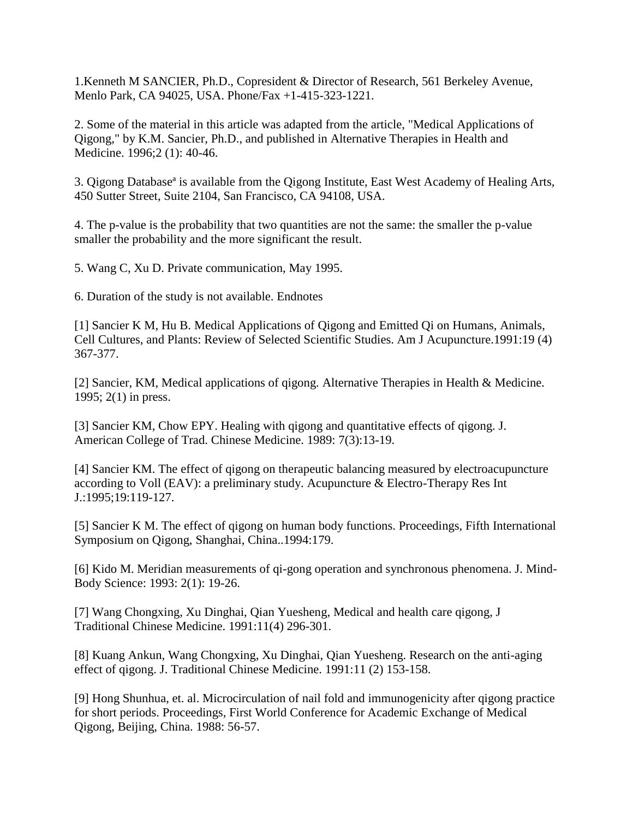1.Kenneth M SANCIER, Ph.D., Copresident & Director of Research, 561 Berkeley Avenue, Menlo Park, CA 94025, USA. Phone/Fax +1-415-323-1221.

2. Some of the material in this article was adapted from the article, "Medical Applications of Qigong," by K.M. Sancier, Ph.D., and published in Alternative Therapies in Health and Medicine. 1996;2 (1): 40-46.

3. Qigong Databaseª is available from the Qigong Institute, East West Academy of Healing Arts, 450 Sutter Street, Suite 2104, San Francisco, CA 94108, USA.

4. The p-value is the probability that two quantities are not the same: the smaller the p-value smaller the probability and the more significant the result.

5. Wang C, Xu D. Private communication, May 1995.

6. Duration of the study is not available. Endnotes

[1] Sancier K M, Hu B. Medical Applications of Qigong and Emitted Qi on Humans, Animals, Cell Cultures, and Plants: Review of Selected Scientific Studies. Am J Acupuncture.1991:19 (4) 367-377.

[2] Sancier, KM, Medical applications of qigong. Alternative Therapies in Health & Medicine. 1995; 2(1) in press.

[3] Sancier KM, Chow EPY. Healing with qigong and quantitative effects of qigong. J. American College of Trad. Chinese Medicine. 1989: 7(3):13-19.

[4] Sancier KM. The effect of qigong on therapeutic balancing measured by electroacupuncture according to Voll (EAV): a preliminary study. Acupuncture & Electro-Therapy Res Int J.:1995;19:119-127.

[5] Sancier K M. The effect of qigong on human body functions. Proceedings, Fifth International Symposium on Qigong, Shanghai, China..1994:179.

[6] Kido M. Meridian measurements of qi-gong operation and synchronous phenomena. J. Mind-Body Science: 1993: 2(1): 19-26.

[7] Wang Chongxing, Xu Dinghai, Qian Yuesheng, Medical and health care qigong, J Traditional Chinese Medicine. 1991:11(4) 296-301.

[8] Kuang Ankun, Wang Chongxing, Xu Dinghai, Qian Yuesheng. Research on the anti-aging effect of qigong. J. Traditional Chinese Medicine. 1991:11 (2) 153-158.

[9] Hong Shunhua, et. al. Microcirculation of nail fold and immunogenicity after qigong practice for short periods. Proceedings, First World Conference for Academic Exchange of Medical Qigong, Beijing, China. 1988: 56-57.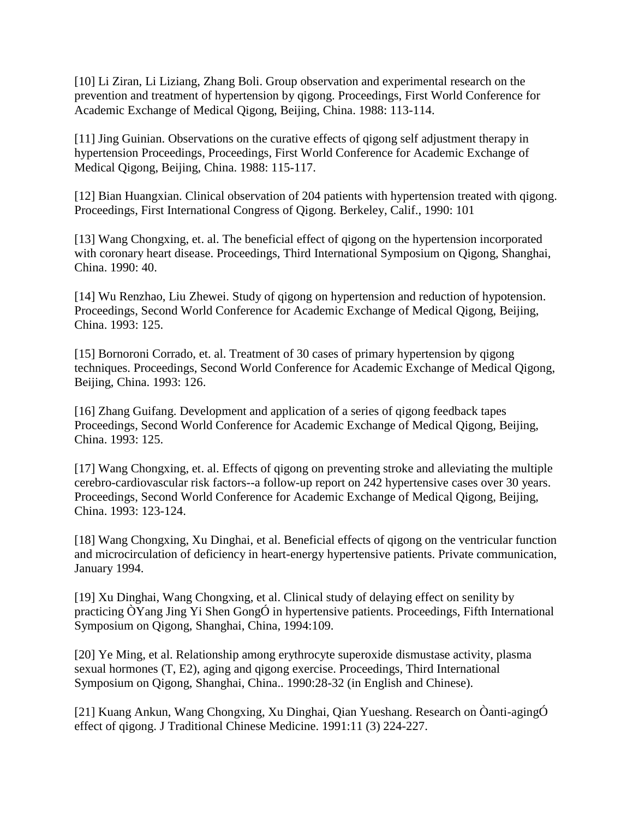[10] Li Ziran, Li Liziang, Zhang Boli. Group observation and experimental research on the prevention and treatment of hypertension by qigong. Proceedings, First World Conference for Academic Exchange of Medical Qigong, Beijing, China. 1988: 113-114.

[11] Jing Guinian. Observations on the curative effects of qigong self adjustment therapy in hypertension Proceedings, Proceedings, First World Conference for Academic Exchange of Medical Qigong, Beijing, China. 1988: 115-117.

[12] Bian Huangxian. Clinical observation of 204 patients with hypertension treated with qigong. Proceedings, First International Congress of Qigong. Berkeley, Calif., 1990: 101

[13] Wang Chongxing, et. al. The beneficial effect of qigong on the hypertension incorporated with coronary heart disease. Proceedings, Third International Symposium on Qigong, Shanghai, China. 1990: 40.

[14] Wu Renzhao, Liu Zhewei. Study of qigong on hypertension and reduction of hypotension. Proceedings, Second World Conference for Academic Exchange of Medical Qigong, Beijing, China. 1993: 125.

[15] Bornoroni Corrado, et. al. Treatment of 30 cases of primary hypertension by qigong techniques. Proceedings, Second World Conference for Academic Exchange of Medical Qigong, Beijing, China. 1993: 126.

[16] Zhang Guifang. Development and application of a series of qigong feedback tapes Proceedings, Second World Conference for Academic Exchange of Medical Qigong, Beijing, China. 1993: 125.

[17] Wang Chongxing, et. al. Effects of qigong on preventing stroke and alleviating the multiple cerebro-cardiovascular risk factors--a follow-up report on 242 hypertensive cases over 30 years. Proceedings, Second World Conference for Academic Exchange of Medical Qigong, Beijing, China. 1993: 123-124.

[18] Wang Chongxing, Xu Dinghai, et al. Beneficial effects of qigong on the ventricular function and microcirculation of deficiency in heart-energy hypertensive patients. Private communication, January 1994.

[19] Xu Dinghai, Wang Chongxing, et al. Clinical study of delaying effect on senility by practicing ÒYang Jing Yi Shen GongÓ in hypertensive patients. Proceedings, Fifth International Symposium on Qigong, Shanghai, China, 1994:109.

[20] Ye Ming, et al. Relationship among erythrocyte superoxide dismustase activity, plasma sexual hormones (T, E2), aging and qigong exercise. Proceedings, Third International Symposium on Qigong, Shanghai, China.. 1990:28-32 (in English and Chinese).

[21] Kuang Ankun, Wang Chongxing, Xu Dinghai, Qian Yueshang. Research on Òanti-agingÓ effect of qigong. J Traditional Chinese Medicine. 1991:11 (3) 224-227.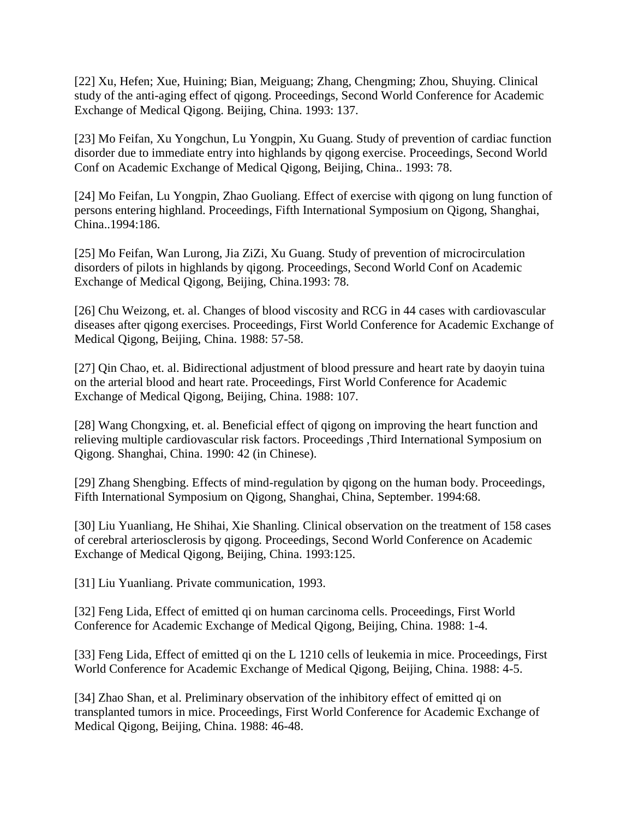[22] Xu, Hefen; Xue, Huining; Bian, Meiguang; Zhang, Chengming; Zhou, Shuying. Clinical study of the anti-aging effect of qigong. Proceedings, Second World Conference for Academic Exchange of Medical Qigong. Beijing, China. 1993: 137.

[23] Mo Feifan, Xu Yongchun, Lu Yongpin, Xu Guang. Study of prevention of cardiac function disorder due to immediate entry into highlands by qigong exercise. Proceedings, Second World Conf on Academic Exchange of Medical Qigong, Beijing, China.. 1993: 78.

[24] Mo Feifan, Lu Yongpin, Zhao Guoliang. Effect of exercise with qigong on lung function of persons entering highland. Proceedings, Fifth International Symposium on Qigong, Shanghai, China..1994:186.

[25] Mo Feifan, Wan Lurong, Jia ZiZi, Xu Guang. Study of prevention of microcirculation disorders of pilots in highlands by qigong. Proceedings, Second World Conf on Academic Exchange of Medical Qigong, Beijing, China.1993: 78.

[26] Chu Weizong, et. al. Changes of blood viscosity and RCG in 44 cases with cardiovascular diseases after qigong exercises. Proceedings, First World Conference for Academic Exchange of Medical Qigong, Beijing, China. 1988: 57-58.

[27] Qin Chao, et. al. Bidirectional adjustment of blood pressure and heart rate by daoyin tuina on the arterial blood and heart rate. Proceedings, First World Conference for Academic Exchange of Medical Qigong, Beijing, China. 1988: 107.

[28] Wang Chongxing, et. al. Beneficial effect of qigong on improving the heart function and relieving multiple cardiovascular risk factors. Proceedings ,Third International Symposium on Qigong. Shanghai, China. 1990: 42 (in Chinese).

[29] Zhang Shengbing. Effects of mind-regulation by qigong on the human body. Proceedings, Fifth International Symposium on Qigong, Shanghai, China, September. 1994:68.

[30] Liu Yuanliang, He Shihai, Xie Shanling. Clinical observation on the treatment of 158 cases of cerebral arteriosclerosis by qigong. Proceedings, Second World Conference on Academic Exchange of Medical Qigong, Beijing, China. 1993:125.

[31] Liu Yuanliang. Private communication, 1993.

[32] Feng Lida, Effect of emitted qi on human carcinoma cells. Proceedings, First World Conference for Academic Exchange of Medical Qigong, Beijing, China. 1988: 1-4.

[33] Feng Lida, Effect of emitted qi on the L 1210 cells of leukemia in mice. Proceedings, First World Conference for Academic Exchange of Medical Qigong, Beijing, China. 1988: 4-5.

[34] Zhao Shan, et al. Preliminary observation of the inhibitory effect of emitted qi on transplanted tumors in mice. Proceedings, First World Conference for Academic Exchange of Medical Qigong, Beijing, China. 1988: 46-48.